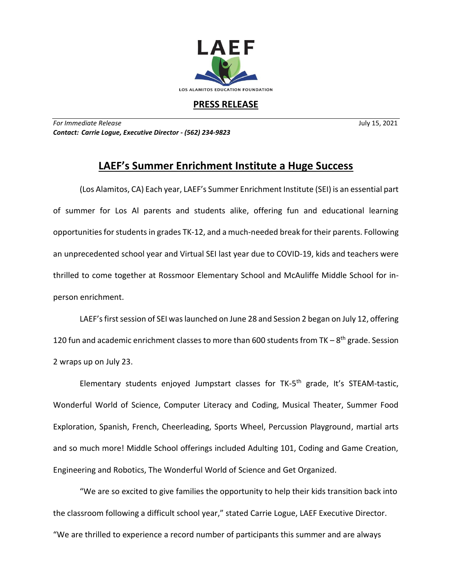

## **PRESS RELEASE**

*For Immediate Release* July 15, 2021 *Contact: Carrie Logue, Executive Director - (562) 234-9823*

## **LAEF's Summer Enrichment Institute a Huge Success**

(Los Alamitos, CA) Each year, LAEF's Summer Enrichment Institute (SEI) is an essential part of summer for Los Al parents and students alike, offering fun and educational learning opportunities for students in grades TK-12, and a much-needed break for their parents. Following an unprecedented school year and Virtual SEI last year due to COVID-19, kids and teachers were thrilled to come together at Rossmoor Elementary School and McAuliffe Middle School for inperson enrichment.

LAEF's first session of SEI was launched on June 28 and Session 2 began on July 12, offering 120 fun and academic enrichment classes to more than 600 students from TK  $-8$ <sup>th</sup> grade. Session 2 wraps up on July 23.

Elementary students enjoyed Jumpstart classes for TK-5<sup>th</sup> grade, It's STEAM-tastic, Wonderful World of Science, Computer Literacy and Coding, Musical Theater, Summer Food Exploration, Spanish, French, Cheerleading, Sports Wheel, Percussion Playground, martial arts and so much more! Middle School offerings included Adulting 101, Coding and Game Creation, Engineering and Robotics, The Wonderful World of Science and Get Organized.

"We are so excited to give families the opportunity to help their kids transition back into the classroom following a difficult school year," stated Carrie Logue, LAEF Executive Director. "We are thrilled to experience a record number of participants this summer and are always